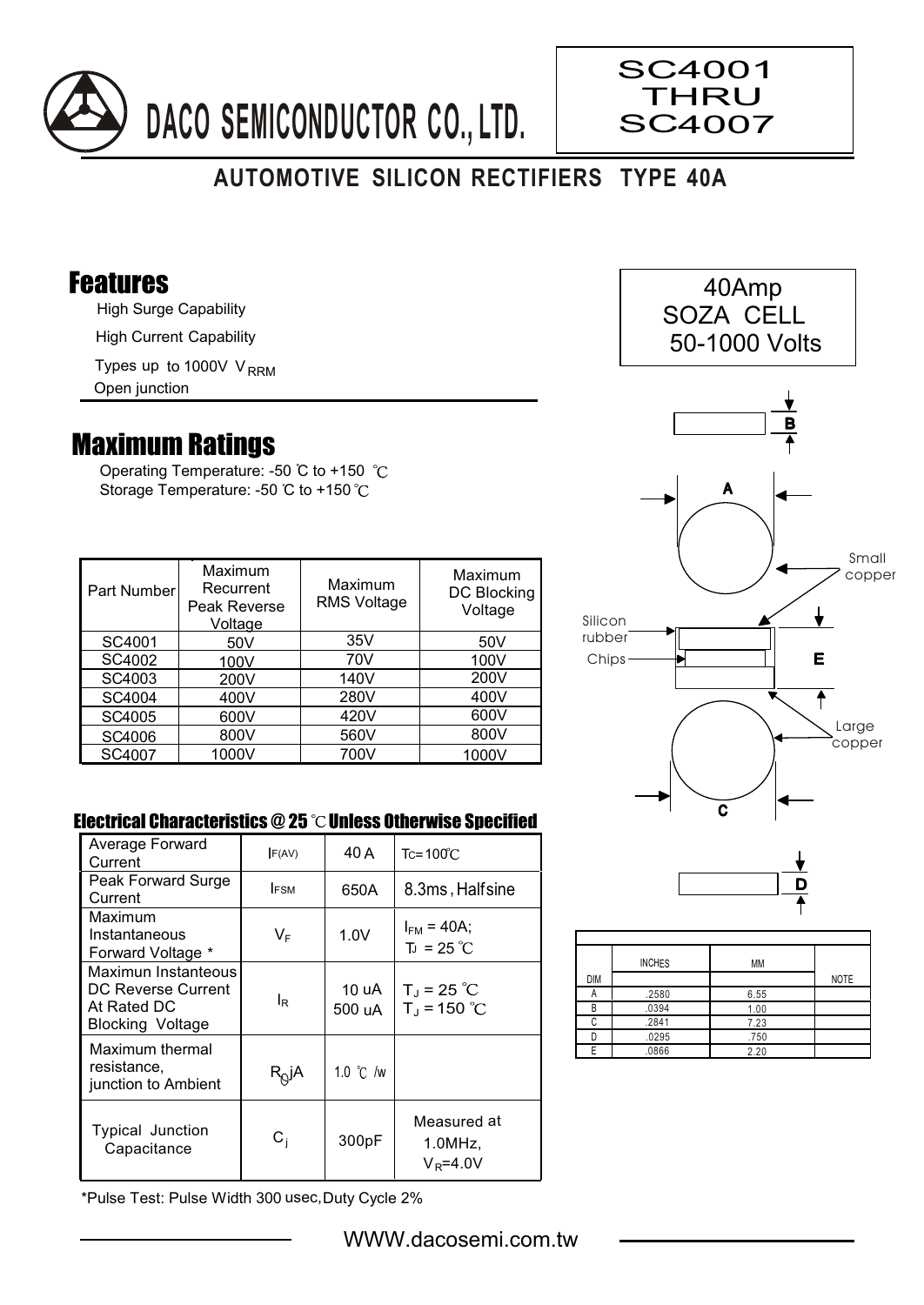

## **AUTOMOTIVE SILICON RECTIFIERS TYPE 40A**

## Features

High Surge Capability

High Current Capability

Types up to 1000V V<sub>RRM</sub>

Open junction

## Maximum Ratings

Operating Temperature: -50 °C to +150 °C Storage Temperature: -50 °C to +150 °C

| Part Number | Maximum<br>Recurrent<br>Peak Reverse<br>Voltage | Maximum<br><b>RMS Voltage</b> | Maximum<br><b>DC Blocking</b><br>Voltage |
|-------------|-------------------------------------------------|-------------------------------|------------------------------------------|
| SC4001      | 50V                                             | 35V                           | 50 <sub>V</sub>                          |
| SC4002      | 100V                                            | 70V                           | 100V                                     |
| SC4003      | 200V                                            | 140V                          | 200V                                     |
| SC4004      | 400V                                            | 280V                          | 400V                                     |
| SC4005      | 600V                                            | 420V                          | 600V                                     |
| SC4006      | 800V                                            | 560V                          | 800V                                     |
| SC4007      | 1000V                                           | 700V                          | 1000V                                    |

## Electrical Characteristics  $@25$   $^{\circ}$ C Unless Otherwise Specified

| Average Forward                                                                     | F(AV)        | 40 A               | $Tc = 100^{\circ}$ C                  |  |
|-------------------------------------------------------------------------------------|--------------|--------------------|---------------------------------------|--|
| Current                                                                             |              |                    |                                       |  |
| Peak Forward Surge                                                                  | <b>IFSM</b>  | 650A               | 8.3ms, Halfsine                       |  |
| Current                                                                             |              |                    |                                       |  |
| Maximum                                                                             |              |                    |                                       |  |
| Instantaneous                                                                       | VF           | 1.0V               | $I_{FM}$ = 40A;                       |  |
| Forward Voltage *                                                                   |              |                    | $T_{J}$ = 25 °C                       |  |
| Maximun Instanteous<br>DC Reverse Current<br>At Rated DC<br><b>Blocking Voltage</b> | lR           | 10 uA<br>500 uA    | $T_J = 25 °C$<br>$T_{J}$ = 150 °C     |  |
| Maximum thermal<br>resistance,<br>junction to Ambient                               | $R_{Q}$ jA   | 1.0 $\degree$ C /w |                                       |  |
| Typical Junction<br>Capacitance                                                     | $\rm{C_{i}}$ | 300pF              | Measured at<br>1.0MHz<br>$V_R = 4.0V$ |  |

\*Pulse Test: Pulse Width 300 usec,Duty Cycle 2%



SC4001 **THRU** SC4007



 $\overline{\mathbf{c}}$ 

|            | <b>INCHES</b> | MM   |             |
|------------|---------------|------|-------------|
| <b>DIM</b> |               |      | <b>NOTE</b> |
| А          | .2580         | 6.55 |             |
| R          | .0394         | 1.00 |             |
| ◠          | .2841         | 7.23 |             |
|            | .0295         | .750 |             |
|            | .0866         | 2.20 |             |

WWW.dacosemi.com.tw